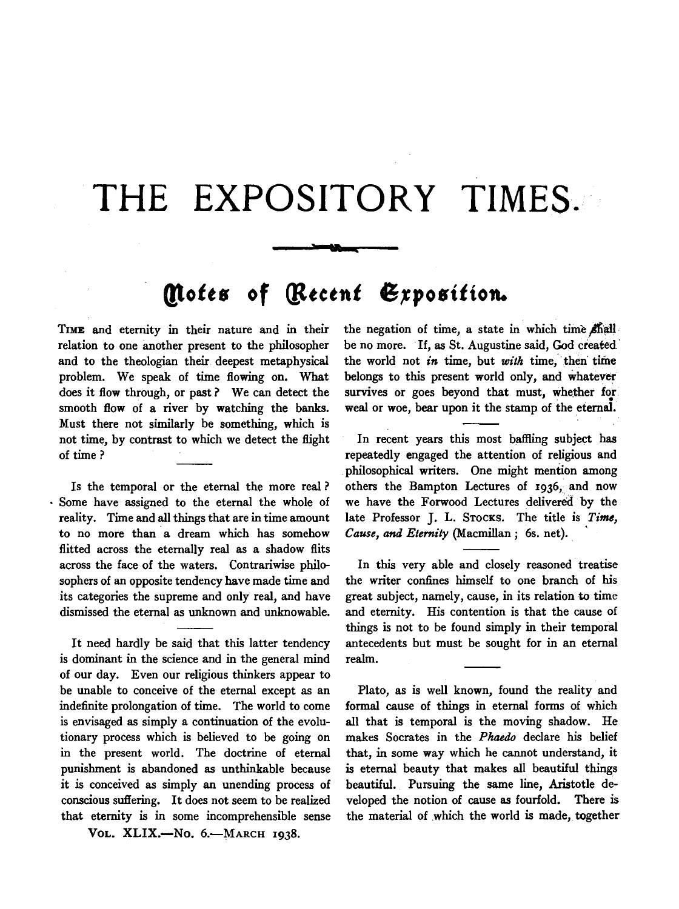## **THE EXPOSITORY TIMES.**

## *(ltott•* **of** ~tttnt **6,rpo8itton.**

TIME and eternity in their nature and in their relation to one another present to the philosopher and to the theologian their deepest metaphysical problem. We speak of time flowing on. What does it flow through, or past? We can detect the smooth flow of a river by watching the banks. Must there not similarly be something, which is not time, by contrast to which we detect the flight of time?

Is the temporal or the eternal the more real ? Some have assigned to the eternal the whole of reality. Time and all things that are in time amount to no more than a dream which has somehow flitted across the eternally real as a shadow flits across the face of the waters. Contrariwise philosophers of an opposite tendency have made time and its categories the supreme and only real, and have dismissed the eternal as unknown and unknowable.

It need hardly be said that this latter tendency is dominant in the science and in the general mind of our day. Even our religious thinkers appear to be unable to conceive of the eternal except as an indefinite prolongation of time. The world to come is envisaged as simply a continuation of the evolutionary process which is believed to be going on in the present world. The doctrine of eternal punishment is abandoned as unthinkable because it is conceived as simply an unending process of conscious suffering. It does not seem to be realized that eternity is in some incomprehensible sense

VOL. XLIX.-No. 6.-MARCH 1938.

the negation of time, a state in which time  $\sin$ be no more. If, as St. Augustine said, God created the world not *in* time, but *with* time, then time belongs to this present world only, and whatever survives or goes beyond that must, whether for weal or woe, bear upon it the stamp of the eternal.

In recent years this most baffling subject has repeatedly engaged the attention of religious and philosophical writers. One might mention among others the Bampton Lectures of 1936, and now we have the Forwood Lectures delivered by the late Professor J. L. STOCKS. The title is *Time, Cause, and Eternity (Macmillan; 6s. net).* 

In this very able and closely reasoned treatise the writer confines himself to one branch of his great subject, namely, cause, in its relation to time and eternity. His contention is that the cause of things is not to be found simply in their temporal antecedents but must be sought for in an eternal realm.

Plato, as is well known, found the reality and formal cause of things in eternal forms of which all that is temporal is the moving shadow. He makes Socrates in the *Phaedo* declare his belief that, in some way which he cannot understand, it is eternal beauty that makes all beautiful things beautiful. Pursuing the same line, Aristotle developed the notion of cause as fourfold. There is the material of which the world is made, together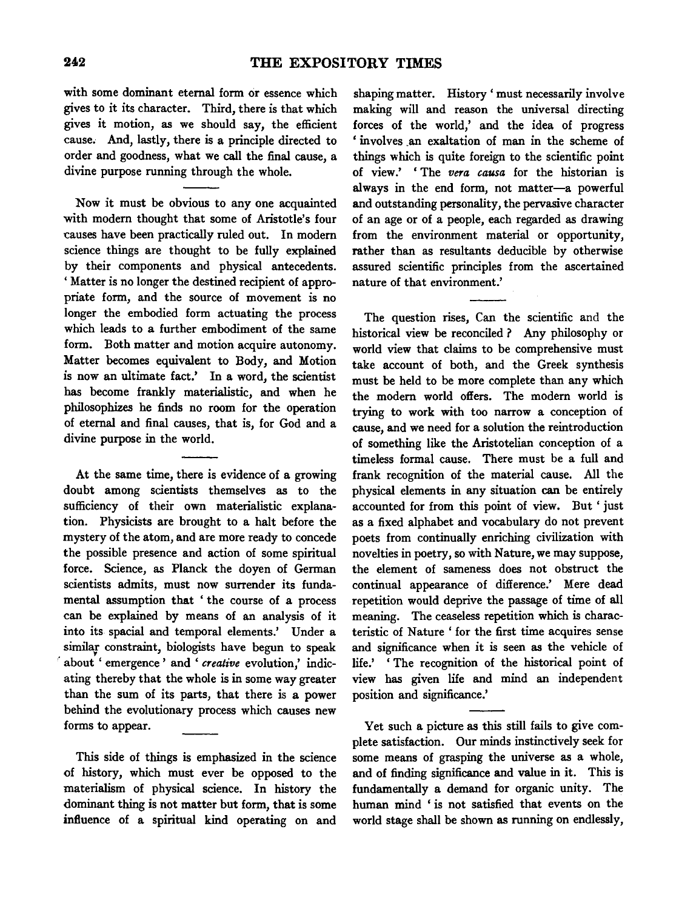with some dominant eternal form or essence which gives to it its character. Third, there is that which gives it motion, as we should say, the efficient cause. And, lastly, there is a principle directed to order and goodness, what we call the final cause, a divine purpose running through the whole.

Now it must be obvious to any one acquainted with modem thought that some of Aristotle's four causes have been practically ruled out. In modem science things are thought to be fully explained by their components and physical antecedents. ' Matter is no longer the destined recipient of appropriate form, and the source of movement is no longer the embodied form actuating the process which leads to a further embodiment of the same form. Both matter and motion acquire autonomy. Matter becomes equivalent to Body, and Motion is now an ultimate fact.' In a word, the scientist has become frankly materialistic, and when he philosophizes he finds no room for the operation of eternal and final causes, that is, for God and a divine purpose in the world.

At the same time, there is evidence of a growing doubt among scientists themselves as to the sufficiency of their own materialistic explanation. Physicists are brought to a halt before the mystery of the atom, and are more ready to concede the possible presence and action of some spiritual force. Science, as Planck the doyen of German scientists admits, must now surrender its fundamental assumption that ' the course of a process can be explained by means of an analysis of it into its spacial and temporal elements.' Under a similar constraint, biologists have begun to speak · about ' emergence ' and ' *creative* evolution,' indicating thereby that the whole is in some way greater than the sum of its parts, that there is a power behind the evolutionary process which causes new forms to appear.

This side of things is emphasized in the science of history, which must ever be opposed to the materialism of physical science. In history the dominant thing is not matter but form, that is some influence of a spiritual kind operating on and

shaping matter. History' must necessarily involve making will and reason the universal directing forces of the world,' and the idea of progress 'involves .an exaltation of man in the scheme of things which is quite foreign to the scientific point of view.' ' The *vera causa* for the historian is always in the end form, not matter-a powerful and outstanding personality, the pervasive character of an age or of a people, each regarded as drawing from the environment material or opportunity, rather than as resultants deducible by otherwise assured scientific principles from the ascertained nature of that environment.'

The question rises, Can the scientific and the historical view be reconciled ? Any philosophy or world view that claims to be comprehensive must take account of both, and the Greek synthesis must be held to be more complete than any which the modem world offers. The modem world is trying to work with too narrow a conception of cause, and we need for a solution the reintroduction of something like the Aristotelian conception of a timeless formal cause. There must be a full and frank recognition of the material cause. All the physical elements in any situation can be entirely accounted for from this point of view. But 'just as a fixed alphabet and vocabulary do not prevent poets from continually enriching civilization with novelties in poetry, so with Nature, we may suppose, the element of sameness does not obstruct the continual appearance of difference.' Mere dead repetition would deprive the passage of time of all meaning. The ceaseless repetition which is characteristic of Nature ' for the first time acquires sense and significance when it is seen as the vehicle of life.' ' The recognition of the historical point of view has given life and mind an independent position and significance.'

Yet such a picture as this still fails to give complete satisfaction. Our minds instinctively seek for some means of grasping the universe as a whole, and of finding significance and value in it. This is fundamentally a demand for organic unity. The human mind ' is not satisfied that events on the world stage shall be shown as running on endlessly,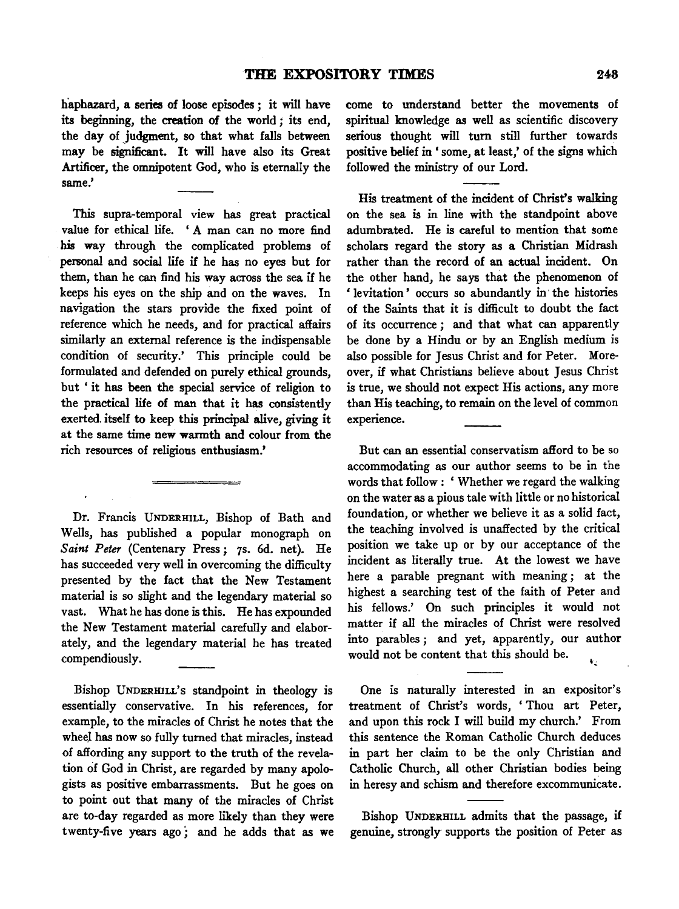haphazard, a series of loose episodes; it will have its beginning, the creation of the world *;* its end, the day of judgment, so that what falls between may be significant. It will have also its Great Artificer, the omnipotent God, who is eternally the same.'

This supra-temporal view has great practical value for ethical life. ' A man can no more find his way through the complicated problems of personal and social life if he has no eyes but for them, than he can find his way across the sea if he keeps his eyes on the ship and on the waves. In navigation the stars provide the fixed point of reference which he needs, and for practical affairs similarly an external reference is the indispensable condition of security.' This principle could be formulated and defended on purely ethical grounds, but ' it has been the special service of religion to the practical life of man that it has consistently exerted. itself to keep this principal alive, giving it at the same time new warmth and colour from the rich resources of religious enthusiasm.'

Dr. Francis UNDERHILL, Bishop of Bath and Wells, has published a popular monograph on *Saint Peter* (Centenary Press *;* 7s. 6d. net). He has succeeded very well in overcoming the difficulty presented by the fact that the New Testament material is so slight and the legendary material so vast. What he has done is this. He has expounded the New Testament material carefully and elaborately, and the legendary material he has treated compendiously.

Bishop UNDERHILL's standpoint in theology is essentially conservative. In his references, for example, to the miracles of Christ he notes that the wheel has now so fully turned that miracles, instead of affording any support to the truth of the revelation of God in Christ, are regarded by many apologists as positive embarrassments. But he goes on to point out that many of the miracles of Christ are to-day regarded as more likely than they were twenty-five years ago; and he adds that as we come to understand better the movements of spiritual knowledge as well as scientific discovery serious thought will turn still further towards positive belief in ' some, at least,' of the signs which followed the ministry of our Lord.

His treatment of the incident of Christ's walking on the sea is in line with the standpoint above adumbrated. He is careful to mention that some scholars regard the story as a Christian Midrash rather than the record of an actual incident. On the other hand, he says that the phenomenon of ' levitation ' occurs so abundantly in· the histories of the Saints that it is difficult to doubt the fact of its occurrence *;* and that what can apparently be done by a Hindu or by an English medium is also possible for Jesus Christ and for Peter. Moreover, if what Christians believe about Jesus Christ is true, we should not expect His actions, any more than His teaching, to remain on the level of common experience.

But can an essential conservatism afford to be so accommodating as our author seems to be in the words that follow : ' Whether we regard the walking on the water as a pious tale with little or no historical foundation, or whether we believe it as a solid fact, the teaching involved is unaffected by the critical position we take up or by our acceptance of the incident as literally true. At the lowest we have here a parable pregnant with meaning ; at the highest a searching test of the faith of Peter and his fellows.' On such principles it would not matter if all the miracles of Christ were resolved into parables ; and yet, apparently, our author would not be content that this should be.

One is naturally interested in an expositor's treatment of Christ's words, 'Thou art Peter, and upon this rock I will build my church.' From this sentence the Roman Catholic Church deduces in part her claim to be the only Christian and Catholic Church, all other Christian bodies being in heresy and schism and therefore excommunicate.

Bishop UNDERHILL admits that the passage, if genuine, strongly supports the position of Peter as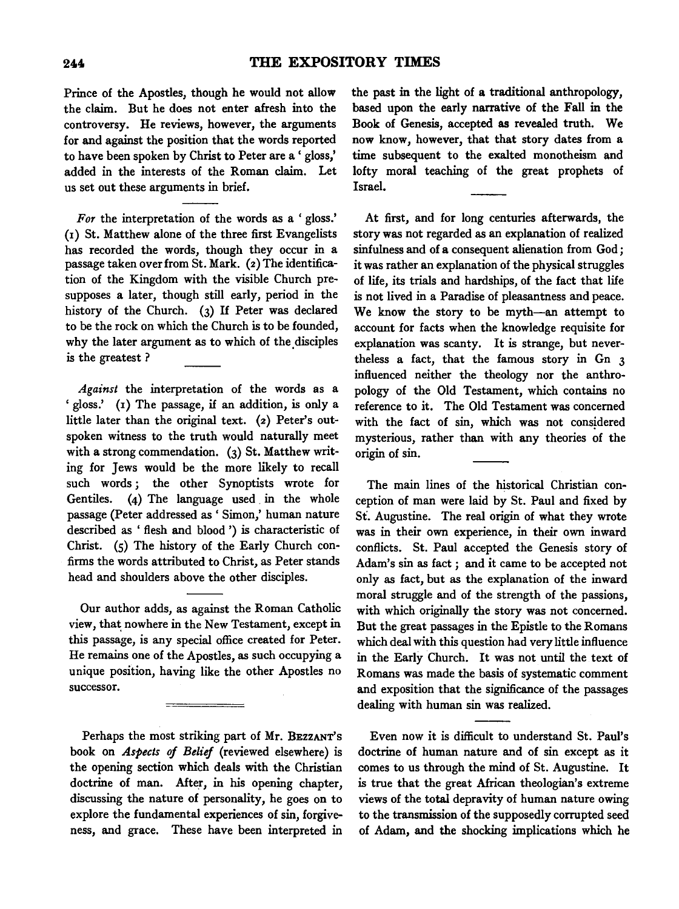Prince of the Apostles, though he would not allow the claim. But he does not enter afresh into the controversy. He reviews, however, the arguments for and against the position that the words reported to have been spoken by Christ to Peter are a' gloss,' added in the interests of the Roman claim. Let us set out these arguments in brief.

*For* the interpretation of the words as a 'gloss.' (r) St. Matthew alone of the three first Evangelists has recorded the words, though they occur in a passage taken over from St. Mark. (2) The identification of the Kingdom with the visible Church presupposes a later, though still early, period in the history of the Church. (3) If Peter was declared to be the rock on which the Church is to be founded, why the later argument as to which of the disciples is the greatest ?

*Against* the interpretation of the words as a 'gloss.' (1) The passage, if an addition, is only a little later than the original text. (2) Peter's outspoken witness to the truth would naturally meet with a strong commendation. (3) St. Matthew writing for Jews would be the more likely to recall such words ; the other Synoptists wrote for Gentiles. (4) The language used. in the whole passage (Peter addressed as ' Simon,' human nature described as ' flesh and blood ') is characteristic of Christ. (5) The history of the Early Church confirms the words attributed to Christ, as Peter stands head and shoulders above the other disciples.

Our author adds, as against the Roman Catholic view, that nowhere in the New Testament, except in this passage, is any special office created for Peter. He remains one of the Apostles, as such occupying a unique position, having like the other Apostles no successor.

Perhaps the most striking part of Mr. BEZZANT's book on *Aspects of Belief* (reviewed elsewhere) is the opening section which deals with the Christian doctrine of man. After, in his opening chapter, discussing the nature of personality, he goes on to explore the fundamental experiences of sin, forgiveness, and grace. These have been interpreted in the past in the light of a traditional anthropology, based upon the early narrative of the Fall in the Book of Genesis, accepted as revealed truth. We now know, however, that that story dates from a time subsequent to the exalted monotheism and lofty moral teaching of the great prophets of Israel.

At first, and for long centuries afterwards, the story was not regarded as an explanation of realized sinfulness and of a consequent alienation from God ; it was rather an explanation of the physical struggles of life, its trials and hardships, of the fact that life is not lived in a Paradise of pleasantness and peace. We know the story to be myth-an attempt to account for facts when the knowledge requisite for explanation was scanty. It is strange, but nevertheless a fact, that the famous story in Gn 3 influenced neither the theology nor the anthropology of the Old Testament, which contains no reference to it. The Old Testament was concerned with the fact of sin, which was not consjdered mysterious, rather than with any theories of the origin of sin.

The main lines of the historical Christian conception of man were laid by St. Paul and fixed by St. Augustine. The real origin of what they wrote was in their own experience, in their own inward conflicts. St. Paul accepted the Genesis story of Adam's sin as fact; and it came to be accepted not only as fact, but as the explanation of the inward moral struggle and of the strength of the passions, with which originally the story was not concerned. But the great passages in the Epistle to the Romans which deal with this question had very little influence in the Early Church. It was not until the text of Romans was made the basis of systematic comment and exposition that the significance of the passages dealing with human sin was realized.

Even now it is difficult to understand St. Paul's doctrine of human nature and of sin except as it comes to us through the mind of St. Augustine. It is true that the great Mrican theologian's extreme views of the total depravity of human nature owing to the transmission of the supposedly corrupted seed of Adam, and the shocking implications which he